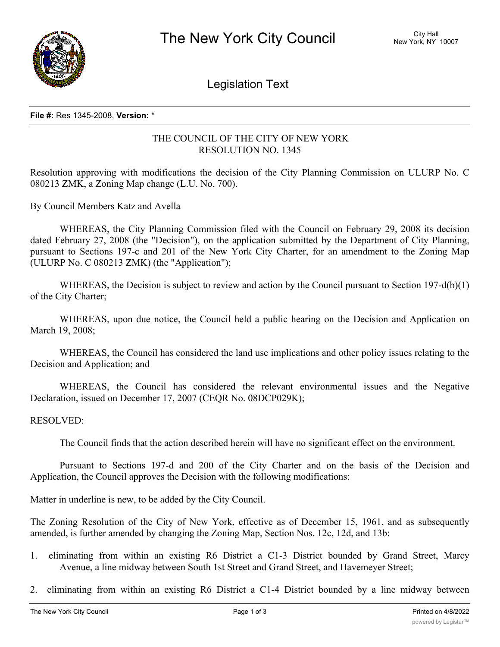

Legislation Text

## **File #:** Res 1345-2008, **Version:** \*

## THE COUNCIL OF THE CITY OF NEW YORK RESOLUTION NO. 1345

Resolution approving with modifications the decision of the City Planning Commission on ULURP No. C 080213 ZMK, a Zoning Map change (L.U. No. 700).

By Council Members Katz and Avella

WHEREAS, the City Planning Commission filed with the Council on February 29, 2008 its decision dated February 27, 2008 (the "Decision"), on the application submitted by the Department of City Planning, pursuant to Sections 197-c and 201 of the New York City Charter, for an amendment to the Zoning Map (ULURP No. C 080213 ZMK) (the "Application");

WHEREAS, the Decision is subject to review and action by the Council pursuant to Section 197-d(b)(1) of the City Charter;

WHEREAS, upon due notice, the Council held a public hearing on the Decision and Application on March 19, 2008;

WHEREAS, the Council has considered the land use implications and other policy issues relating to the Decision and Application; and

WHEREAS, the Council has considered the relevant environmental issues and the Negative Declaration, issued on December 17, 2007 (CEQR No. 08DCP029K);

## RESOLVED:

The Council finds that the action described herein will have no significant effect on the environment.

Pursuant to Sections 197-d and 200 of the City Charter and on the basis of the Decision and Application, the Council approves the Decision with the following modifications:

Matter in underline is new, to be added by the City Council.

The Zoning Resolution of the City of New York, effective as of December 15, 1961, and as subsequently amended, is further amended by changing the Zoning Map, Section Nos. 12c, 12d, and 13b:

- 1. eliminating from within an existing R6 District a C1-3 District bounded by Grand Street, Marcy Avenue, a line midway between South 1st Street and Grand Street, and Havemeyer Street;
- 2. eliminating from within an existing R6 District a C1-4 District bounded by a line midway between

 $\mathcal{H}_{\rm{H}}$  is treed street, a line 150 feet northwesterly of Have $\mathcal{H}_{\rm{H}}$  and  $\mathcal{H}_{\rm{H}}$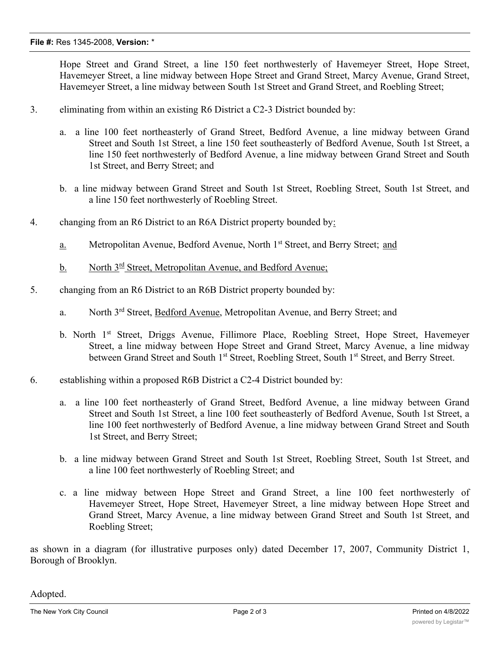Hope Street and Grand Street, a line 150 feet northwesterly of Havemeyer Street, Hope Street, Havemeyer Street, a line midway between Hope Street and Grand Street, Marcy Avenue, Grand Street, Havemeyer Street, a line midway between South 1st Street and Grand Street, and Roebling Street;

- 3. eliminating from within an existing R6 District a C2-3 District bounded by:
	- a. a line 100 feet northeasterly of Grand Street, Bedford Avenue, a line midway between Grand Street and South 1st Street, a line 150 feet southeasterly of Bedford Avenue, South 1st Street, a line 150 feet northwesterly of Bedford Avenue, a line midway between Grand Street and South 1st Street, and Berry Street; and
	- b. a line midway between Grand Street and South 1st Street, Roebling Street, South 1st Street, and a line 150 feet northwesterly of Roebling Street.
- 4. changing from an R6 District to an R6A District property bounded by:
	- a. Metropolitan Avenue, Bedford Avenue, North 1<sup>st</sup> Street, and Berry Street; and
	- b. North 3<sup>rd</sup> Street, Metropolitan Avenue, and Bedford Avenue;
- 5. changing from an R6 District to an R6B District property bounded by:
	- a. North 3rd Street, Bedford Avenue, Metropolitan Avenue, and Berry Street; and
	- b. North 1<sup>st</sup> Street, Driggs Avenue, Fillimore Place, Roebling Street, Hope Street, Havemeyer Street, a line midway between Hope Street and Grand Street, Marcy Avenue, a line midway between Grand Street and South 1<sup>st</sup> Street, Roebling Street, South 1<sup>st</sup> Street, and Berry Street.
- 6. establishing within a proposed R6B District a C2-4 District bounded by:
	- a. a line 100 feet northeasterly of Grand Street, Bedford Avenue, a line midway between Grand Street and South 1st Street, a line 100 feet southeasterly of Bedford Avenue, South 1st Street, a line 100 feet northwesterly of Bedford Avenue, a line midway between Grand Street and South 1st Street, and Berry Street;
	- b. a line midway between Grand Street and South 1st Street, Roebling Street, South 1st Street, and a line 100 feet northwesterly of Roebling Street; and
	- c. a line midway between Hope Street and Grand Street, a line 100 feet northwesterly of Havemeyer Street, Hope Street, Havemeyer Street, a line midway between Hope Street and Grand Street, Marcy Avenue, a line midway between Grand Street and South 1st Street, and Roebling Street;

as shown in a diagram (for illustrative purposes only) dated December 17, 2007, Community District 1, Borough of Brooklyn.

Adopted.